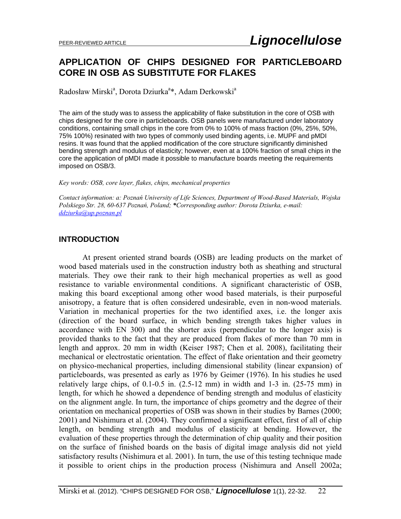# **APPLICATION OF CHIPS DESIGNED FOR PARTICLEBOARD CORE IN OSB AS SUBSTITUTE FOR FLAKES**

Radosław Mirski<sup>a</sup>, Dorota Dziurka<sup>a</sup>\*, Adam Derkowski<sup>a</sup>

The aim of the study was to assess the applicability of flake substitution in the core of OSB with chips designed for the core in particleboards. OSB panels were manufactured under laboratory conditions, containing small chips in the core from 0% to 100% of mass fraction (0%, 25%, 50%, 75% 100%) resinated with two types of commonly used binding agents, i.e. MUPF and pMDI resins. It was found that the applied modification of the core structure significantly diminished bending strength and modulus of elasticity; however, even at a 100% fraction of small chips in the core the application of pMDI made it possible to manufacture boards meeting the requirements imposed on OSB/3.

*Key words: OSB, core layer, flakes, chips, mechanical properties* 

*Contact information: a: Poznań University of Life Sciences, Department of Wood-Based Materials, Wojska Polskiego Str. 28, 60-637 Poznań, Poland; \*Corresponding author: Dorota Dziurka, e-mail: ddziurka@up.poznan.pl*

## **INTRODUCTION**

 At present oriented strand boards (OSB) are leading products on the market of wood based materials used in the construction industry both as sheathing and structural materials. They owe their rank to their high mechanical properties as well as good resistance to variable environmental conditions. A significant characteristic of OSB, making this board exceptional among other wood based materials, is their purposeful anisotropy, a feature that is often considered undesirable, even in non-wood materials. Variation in mechanical properties for the two identified axes, i.e. the longer axis (direction of the board surface, in which bending strength takes higher values in accordance with EN 300) and the shorter axis (perpendicular to the longer axis) is provided thanks to the fact that they are produced from flakes of more than 70 mm in length and approx. 20 mm in width (Keiser 1987; Chen et al. 2008), facilitating their mechanical or electrostatic orientation. The effect of flake orientation and their geometry on physico-mechanical properties, including dimensional stability (linear expansion) of particleboards, was presented as early as 1976 by Geimer (1976). In his studies he used relatively large chips, of  $0.1$ - $0.5$  in.  $(2.5$ - $12$  mm) in width and  $1$ - $3$  in.  $(25$ - $75$  mm) in length, for which he showed a dependence of bending strength and modulus of elasticity on the alignment angle. In turn, the importance of chips geometry and the degree of their orientation on mechanical properties of OSB was shown in their studies by Barnes (2000; 2001) and Nishimura et al. (2004). They confirmed a significant effect, first of all of chip length, on bending strength and modulus of elasticity at bending. However, the evaluation of these properties through the determination of chip quality and their position on the surface of finished boards on the basis of digital image analysis did not yield satisfactory results (Nishimura et al. 2001). In turn, the use of this testing technique made it possible to orient chips in the production process (Nishimura and Ansell 2002a;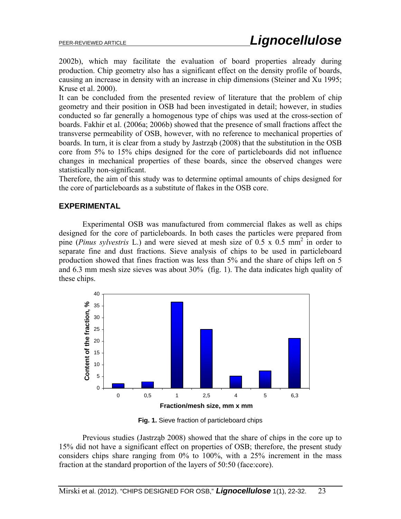2002b), which may facilitate the evaluation of board properties already during production. Chip geometry also has a significant effect on the density profile of boards, causing an increase in density with an increase in chip dimensions (Steiner and Xu 1995; Kruse et al. 2000).

It can be concluded from the presented review of literature that the problem of chip geometry and their position in OSB had been investigated in detail; however, in studies conducted so far generally a homogenous type of chips was used at the cross-section of boards. Fakhir et al. (2006a; 2006b) showed that the presence of small fractions affect the transverse permeability of OSB, however, with no reference to mechanical properties of boards. In turn, it is clear from a study by Jastrząb (2008) that the substitution in the OSB core from 5% to 15% chips designed for the core of particleboards did not influence changes in mechanical properties of these boards, since the observed changes were statistically non-significant.

Therefore, the aim of this study was to determine optimal amounts of chips designed for the core of particleboards as a substitute of flakes in the OSB core.

## **EXPERIMENTAL**

 Experimental OSB was manufactured from commercial flakes as well as chips designed for the core of particleboards. In both cases the particles were prepared from pine (*Pinus sylvestris* L.) and were sieved at mesh size of 0.5 x 0.5 mm2 in order to separate fine and dust fractions. Sieve analysis of chips to be used in particleboard production showed that fines fraction was less than 5% and the share of chips left on 5 and 6.3 mm mesh size sieves was about 30% (fig. 1). The data indicates high quality of these chips.



**Fig. 1.** Sieve fraction of particleboard chips

Previous studies (Jastrząb 2008) showed that the share of chips in the core up to 15% did not have a significant effect on properties of OSB; therefore, the present study considers chips share ranging from 0% to 100%, with a 25% increment in the mass fraction at the standard proportion of the layers of 50:50 (face:core).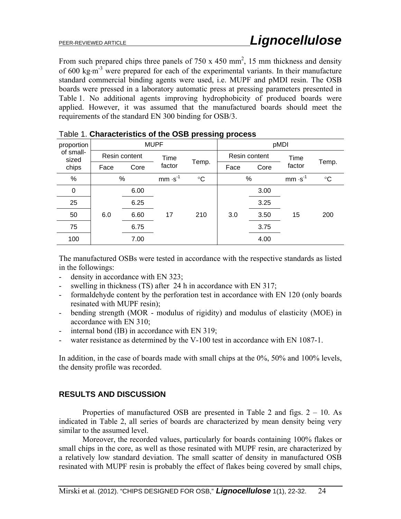From such prepared chips three panels of  $750 \times 450 \text{ mm}^2$ , 15 mm thickness and density of 600 kg·m<sup>-3</sup> were prepared for each of the experimental variants. In their manufacture standard commercial binding agents were used, i.e. MUPF and pMDI resin. The OSB boards were pressed in a laboratory automatic press at pressing parameters presented in Table 1. No additional agents improving hydrophobicity of produced boards were applied. However, it was assumed that the manufactured boards should meet the requirements of the standard EN 300 binding for OSB/3.

|                                             |               |      |             |           | יו ש |               |          |                 |  |  |
|---------------------------------------------|---------------|------|-------------|-----------|------|---------------|----------|-----------------|--|--|
| proportion  <br>of small-<br>sized<br>chips |               |      | <b>MUPF</b> |           | pMDI |               |          |                 |  |  |
|                                             | Resin content |      | Time        |           |      | Resin content | Time     |                 |  |  |
|                                             | Face          | Core | factor      | Temp.     | Face | Core          | factor   | Temp.           |  |  |
| %                                           | %             |      | $mm·s-1$    | $\circ$ C | %    |               | $mm·s-1$ | $\rm ^{\circ}C$ |  |  |
| $\mathbf 0$                                 |               | 6.00 |             |           |      | 3.00          |          |                 |  |  |
| 25                                          |               | 6.25 |             | 210       |      | 3.25          |          | 200             |  |  |
| 50                                          | 6.0           | 6.60 | 17          |           | 3.0  | 3.50          | 15       |                 |  |  |
| 75                                          |               | 6.75 |             |           |      | 3.75          |          |                 |  |  |
| 100                                         |               | 7.00 |             |           |      | 4.00          |          |                 |  |  |
|                                             |               |      |             |           |      |               |          |                 |  |  |

|  | Table 1. Characteristics of the OSB pressing process |  |  |  |
|--|------------------------------------------------------|--|--|--|
|--|------------------------------------------------------|--|--|--|

The manufactured OSBs were tested in accordance with the respective standards as listed in the followings:

- density in accordance with EN 323;
- swelling in thickness (TS) after 24 h in accordance with EN 317;
- formaldehyde content by the perforation test in accordance with EN 120 (only boards resinated with MUPF resin);
- bending strength (MOR modulus of rigidity) and modulus of elasticity (MOE) in accordance with EN 310;
- internal bond (IB) in accordance with EN 319;
- water resistance as determined by the V-100 test in accordance with EN 1087-1.

In addition, in the case of boards made with small chips at the 0%, 50% and 100% levels, the density profile was recorded.

#### **RESULTS AND DISCUSSION**

 Properties of manufactured OSB are presented in Table 2 and figs. 2 – 10. As indicated in Table 2, all series of boards are characterized by mean density being very similar to the assumed level.

Moreover, the recorded values, particularly for boards containing 100% flakes or small chips in the core, as well as those resinated with MUPF resin, are characterized by a relatively low standard deviation. The small scatter of density in manufactured OSB resinated with MUPF resin is probably the effect of flakes being covered by small chips,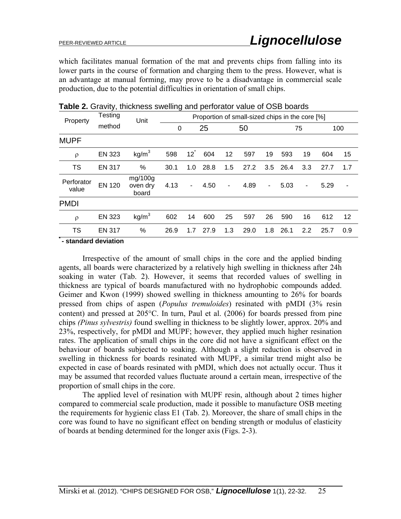which facilitates manual formation of the mat and prevents chips from falling into its lower parts in the course of formation and charging them to the press. However, what is an advantage at manual forming, may prove to be a disadvantage in commercial scale production, due to the potential difficulties in orientation of small chips.

| Property                             | Testing       | Unit                         | Proportion of small-sized chips in the core [%] |          |      |                          |      |                          |      |     |      |     |
|--------------------------------------|---------------|------------------------------|-------------------------------------------------|----------|------|--------------------------|------|--------------------------|------|-----|------|-----|
|                                      | method        |                              | 25<br>0                                         |          |      | 50                       |      |                          | 75   |     | 100  |     |
| <b>MUPF</b>                          |               |                              |                                                 |          |      |                          |      |                          |      |     |      |     |
| ρ                                    | <b>EN 323</b> | kg/m <sup>3</sup>            | 598                                             | $12^{7}$ | 604  | 12                       | 597  | 19                       | 593  | 19  | 604  | 15  |
| TS                                   | <b>EN 317</b> | %                            | 30.1                                            | 1.0      | 28.8 | 1.5                      | 27.2 | 3.5                      | 26.4 | 3.3 | 27.7 | 1.7 |
| Perforator<br>value                  | <b>EN 120</b> | mg/100g<br>oven dry<br>board | 4.13                                            | -        | 4.50 | $\overline{\phantom{a}}$ | 4.89 | $\overline{\phantom{a}}$ | 5.03 | -   | 5.29 | ٠   |
| <b>PMDI</b>                          |               |                              |                                                 |          |      |                          |      |                          |      |     |      |     |
| $\rho$                               | <b>EN 323</b> | kg/m <sup>3</sup>            | 602                                             | 14       | 600  | 25                       | 597  | 26                       | 590  | 16  | 612  | 12  |
| TS                                   | <b>EN 317</b> | %                            | 26.9                                            | 1.7      | 27.9 | 1.3                      | 29.0 | 1.8                      | 26.1 | 2.2 | 25.7 | 0.9 |
| وبالمتلقط والمتراد المستحار وبالمنقص |               |                              |                                                 |          |      |                          |      |                          |      |     |      |     |

**\* - standard deviation** 

 Irrespective of the amount of small chips in the core and the applied binding agents, all boards were characterized by a relatively high swelling in thickness after 24h soaking in water (Tab. 2). However, it seems that recorded values of swelling in thickness are typical of boards manufactured with no hydrophobic compounds added. Geimer and Kwon (1999) showed swelling in thickness amounting to 26% for boards pressed from chips of aspen (*Populus tremuloides*) resinated with pMDI (3% resin content) and pressed at  $205^{\circ}$ C. In turn, Paul et al. (2006) for boards pressed from pine chips *(Pinus sylvestris)* found swelling in thickness to be slightly lower, approx. 20% and 23%, respectively, for pMDI and MUPF; however, they applied much higher resination rates. The application of small chips in the core did not have a significant effect on the behaviour of boards subjected to soaking. Although a slight reduction is observed in swelling in thickness for boards resinated with MUPF, a similar trend might also be expected in case of boards resinated with pMDI, which does not actually occur. Thus it may be assumed that recorded values fluctuate around a certain mean, irrespective of the proportion of small chips in the core.

 The applied level of resination with MUPF resin, although about 2 times higher compared to commercial scale production, made it possible to manufacture OSB meeting the requirements for hygienic class E1 (Tab. 2). Moreover, the share of small chips in the core was found to have no significant effect on bending strength or modulus of elasticity of boards at bending determined for the longer axis (Figs. 2-3).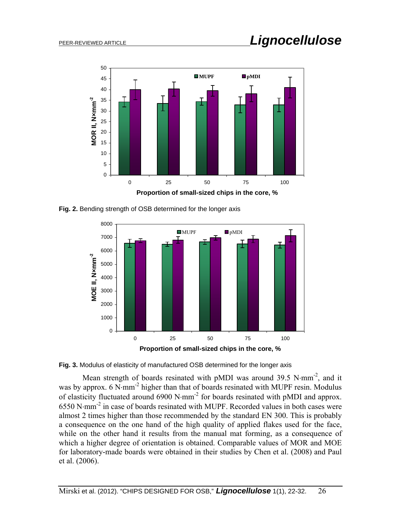

**Fig. 2.** Bending strength of OSB determined for the longer axis



**Fig. 3.** Modulus of elasticity of manufactured OSB determined for the longer axis

Mean strength of boards resinated with pMDI was around 39.5 N $\cdot$ mm<sup>-2</sup>, and it was by approx.  $6 \text{ N·mm}^2$  higher than that of boards resinated with MUPF resin. Modulus of elasticity fluctuated around  $6900 \text{ N}\cdot \text{mm}^{-2}$  for boards resinated with pMDI and approx.  $6550$  N·mm<sup>-2</sup> in case of boards resinated with MUPF. Recorded values in both cases were almost 2 times higher than those recommended by the standard EN 300. This is probably a consequence on the one hand of the high quality of applied flakes used for the face, while on the other hand it results from the manual mat forming, as a consequence of which a higher degree of orientation is obtained. Comparable values of MOR and MOE for laboratory-made boards were obtained in their studies by Chen et al. (2008) and Paul et al. (2006).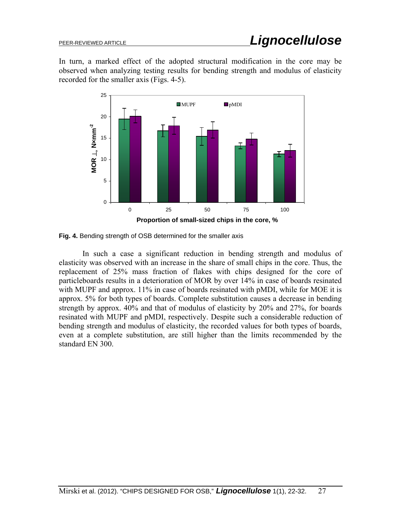In turn, a marked effect of the adopted structural modification in the core may be observed when analyzing testing results for bending strength and modulus of elasticity recorded for the smaller axis (Figs. 4-5).





In such a case a significant reduction in bending strength and modulus of elasticity was observed with an increase in the share of small chips in the core. Thus, the replacement of 25% mass fraction of flakes with chips designed for the core of particleboards results in a deterioration of MOR by over 14% in case of boards resinated with MUPF and approx. 11% in case of boards resinated with pMDI, while for MOE it is approx. 5% for both types of boards. Complete substitution causes a decrease in bending strength by approx. 40% and that of modulus of elasticity by 20% and 27%, for boards resinated with MUPF and pMDI, respectively. Despite such a considerable reduction of bending strength and modulus of elasticity, the recorded values for both types of boards, even at a complete substitution, are still higher than the limits recommended by the standard EN 300.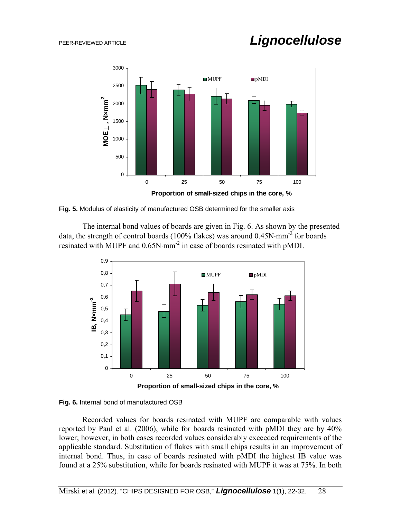

**Fig. 5.** Modulus of elasticity of manufactured OSB determined for the smaller axis

The internal bond values of boards are given in Fig. 6. As shown by the presented data, the strength of control boards (100% flakes) was around  $0.45N \cdot \text{mm}^{-2}$  for boards resinated with MUPF and  $0.65N·mm^{-2}$  in case of boards resinated with pMDI.





Recorded values for boards resinated with MUPF are comparable with values reported by Paul et al. (2006), while for boards resinated with pMDI they are by 40% lower; however, in both cases recorded values considerably exceeded requirements of the applicable standard. Substitution of flakes with small chips results in an improvement of internal bond. Thus, in case of boards resinated with pMDI the highest IB value was found at a 25% substitution, while for boards resinated with MUPF it was at 75%. In both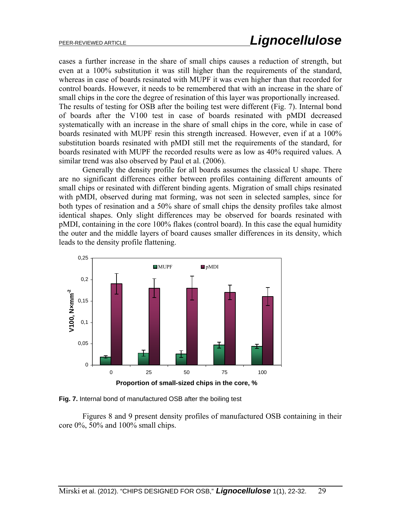cases a further increase in the share of small chips causes a reduction of strength, but even at a 100% substitution it was still higher than the requirements of the standard, whereas in case of boards resinated with MUPF it was even higher than that recorded for control boards. However, it needs to be remembered that with an increase in the share of small chips in the core the degree of resination of this layer was proportionally increased. The results of testing for OSB after the boiling test were different (Fig. 7). Internal bond of boards after the V100 test in case of boards resinated with pMDI decreased systematically with an increase in the share of small chips in the core, while in case of boards resinated with MUPF resin this strength increased. However, even if at a 100% substitution boards resinated with pMDI still met the requirements of the standard, for boards resinated with MUPF the recorded results were as low as 40% required values. A similar trend was also observed by Paul et al. (2006).

Generally the density profile for all boards assumes the classical U shape. There are no significant differences either between profiles containing different amounts of small chips or resinated with different binding agents. Migration of small chips resinated with pMDI, observed during mat forming, was not seen in selected samples, since for both types of resination and a 50% share of small chips the density profiles take almost identical shapes. Only slight differences may be observed for boards resinated with pMDI, containing in the core 100% flakes (control board). In this case the equal humidity the outer and the middle layers of board causes smaller differences in its density, which leads to the density profile flattening.



**Fig. 7.** Internal bond of manufactured OSB after the boiling test

Figures 8 and 9 present density profiles of manufactured OSB containing in their core 0%, 50% and 100% small chips.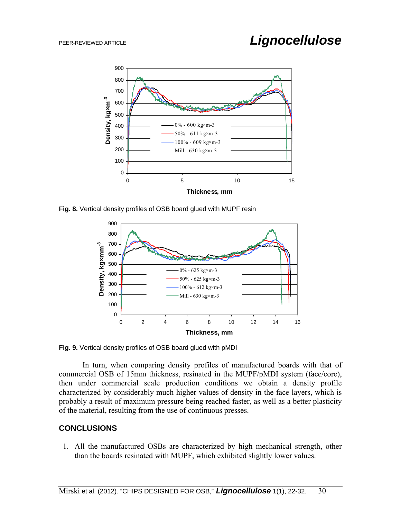

**Fig. 8.** Vertical density profiles of OSB board glued with MUPF resin



**Fig. 9.** Vertical density profiles of OSB board glued with pMDI

In turn, when comparing density profiles of manufactured boards with that of commercial OSB of 15mm thickness, resinated in the MUPF/pMDI system (face/core), then under commercial scale production conditions we obtain a density profile characterized by considerably much higher values of density in the face layers, which is probably a result of maximum pressure being reached faster, as well as a better plasticity of the material, resulting from the use of continuous presses.

# **CONCLUSIONS**

1. All the manufactured OSBs are characterized by high mechanical strength, other than the boards resinated with MUPF, which exhibited slightly lower values.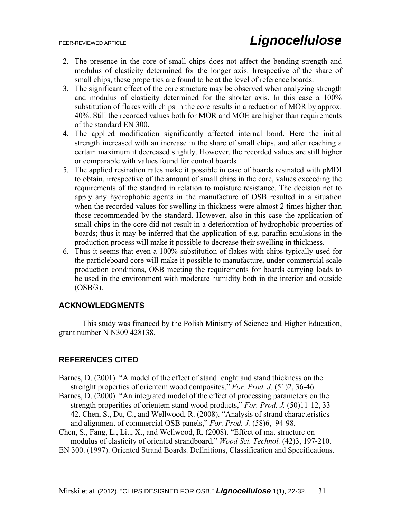- 2. The presence in the core of small chips does not affect the bending strength and modulus of elasticity determined for the longer axis. Irrespective of the share of small chips, these properties are found to be at the level of reference boards.
- 3. The significant effect of the core structure may be observed when analyzing strength and modulus of elasticity determined for the shorter axis. In this case a 100% substitution of flakes with chips in the core results in a reduction of MOR by approx. 40%. Still the recorded values both for MOR and MOE are higher than requirements of the standard EN 300.
- 4. The applied modification significantly affected internal bond. Here the initial strength increased with an increase in the share of small chips, and after reaching a certain maximum it decreased slightly. However, the recorded values are still higher or comparable with values found for control boards.
- 5. The applied resination rates make it possible in case of boards resinated with pMDI to obtain, irrespective of the amount of small chips in the core, values exceeding the requirements of the standard in relation to moisture resistance. The decision not to apply any hydrophobic agents in the manufacture of OSB resulted in a situation when the recorded values for swelling in thickness were almost 2 times higher than those recommended by the standard. However, also in this case the application of small chips in the core did not result in a deterioration of hydrophobic properties of boards; thus it may be inferred that the application of e.g. paraffin emulsions in the production process will make it possible to decrease their swelling in thickness.
- 6. Thus it seems that even a 100% substitution of flakes with chips typically used for the particleboard core will make it possible to manufacture, under commercial scale production conditions, OSB meeting the requirements for boards carrying loads to be used in the environment with moderate humidity both in the interior and outside (OSB/3).

# **ACKNOWLEDGMENTS**

This study was financed by the Polish Ministry of Science and Higher Education, grant number N N309 428138.

# **REFERENCES CITED**

- Barnes, D. (2001). "A model of the effect of stand lenght and stand thickness on the strenght properties of orientem wood composites," *For. Prod. J.* (51)2, 36-46.
- Barnes, D. (2000). "An integrated model of the effect of processing parameters on the strength properities of orientem stand wood products," *For. Prod. J.* (50)11-12, 33- 42. Chen, S., Du, C., and Wellwood, R. (2008). "Analysis of strand characteristics and alignment of commercial OSB panels," *For. Prod. J.* (58)6, 94-98.
- Chen, S., Fang, L., Liu, X., and Wellwood, R. (2008). "Effect of mat structure on modulus of elasticity of oriented strandboard," *Wood Sci. Technol.* (42)3, 197-210.
- EN 300. (1997). Oriented Strand Boards. Definitions, Classification and Specifications.